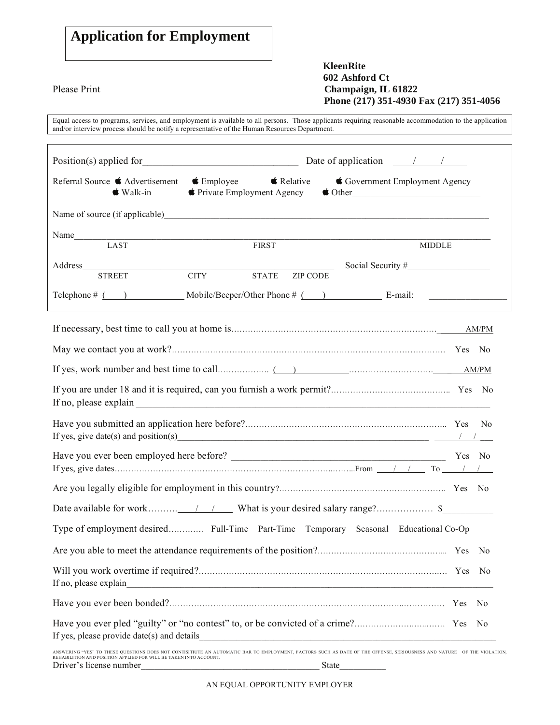# **Application for Employment**

#### **KleenRite 602 Ashford Ct** Please Print **Champaign, IL 61822 Phone (217) 351-4930 Fax (217) 351-4056**

Equal access to programs, services, and employment is available to all persons. Those applicants requiring reasonable accommodation to the application and/or interview process should be notify a representative of the Human Resources Department.

|                                                             | Position(s) applied for<br>Date of application $\frac{\ }{\ }$ / / ______                                                          |                |  |  |
|-------------------------------------------------------------|------------------------------------------------------------------------------------------------------------------------------------|----------------|--|--|
| Referral Source <b>■</b> Advertisement<br>$\bullet$ Walk-in | $\bullet$ Employee<br>Government Employment Agency<br>$\bullet$ Relative<br>$\bullet$ Private Employment Agency<br>$\bullet$ Other |                |  |  |
|                                                             | Name of source (if applicable) expression and the set of source of source (if applicable)                                          |                |  |  |
| Name LAST                                                   | <b>FIRST</b><br><b>MIDDLE</b>                                                                                                      |                |  |  |
| Address_<br><b>STREET</b>                                   | <b>CITY</b><br><b>STATE</b><br><b>ZIP CODE</b>                                                                                     |                |  |  |
|                                                             |                                                                                                                                    |                |  |  |
|                                                             |                                                                                                                                    |                |  |  |
|                                                             |                                                                                                                                    |                |  |  |
|                                                             |                                                                                                                                    |                |  |  |
|                                                             |                                                                                                                                    |                |  |  |
|                                                             |                                                                                                                                    | No.            |  |  |
|                                                             |                                                                                                                                    |                |  |  |
|                                                             |                                                                                                                                    |                |  |  |
|                                                             |                                                                                                                                    |                |  |  |
|                                                             | Type of employment desired Full-Time Part-Time Temporary Seasonal Educational Co-Op                                                |                |  |  |
|                                                             |                                                                                                                                    |                |  |  |
| If no, please explain                                       | <u> 1989 - Jan James James James James James James James James James James James James James James James James J</u>               | No.            |  |  |
|                                                             |                                                                                                                                    | N <sub>0</sub> |  |  |
|                                                             |                                                                                                                                    | No             |  |  |

ANSWERING "YES" TO THESE QUESTIONS DOES NOT CONTISITUTE AN AUTOMATIC BAR TO EMPLOYMENT, FACTORS SUCH AS DATE OF THE OFFENSE, SERIOUSNESS AND NATURE – OF THE VIOLATION,<br>REHABILITION AND POSITION APPLIED FOR WILL BE TAKEN IN Driver's license number State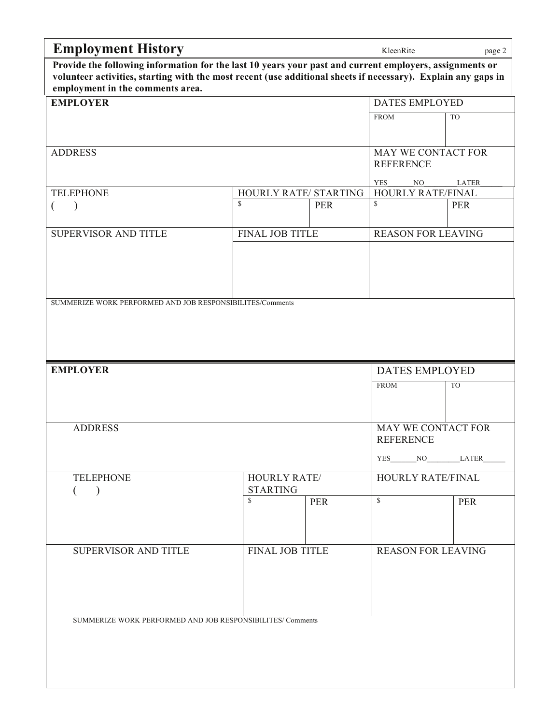| <b>Employment History</b>                                                                                                                                                                                                                                    |                                        |                              | KleenRite                                              | page 2     |
|--------------------------------------------------------------------------------------------------------------------------------------------------------------------------------------------------------------------------------------------------------------|----------------------------------------|------------------------------|--------------------------------------------------------|------------|
| Provide the following information for the last 10 years your past and current employers, assignments or<br>volunteer activities, starting with the most recent (use additional sheets if necessary). Explain any gaps in<br>employment in the comments area. |                                        |                              |                                                        |            |
| <b>EMPLOYER</b>                                                                                                                                                                                                                                              |                                        |                              | DATES EMPLOYED                                         |            |
|                                                                                                                                                                                                                                                              |                                        |                              | <b>FROM</b>                                            | <b>TO</b>  |
| <b>ADDRESS</b>                                                                                                                                                                                                                                               |                                        |                              | MAY WE CONTACT FOR<br><b>REFERENCE</b>                 |            |
| <b>TELEPHONE</b>                                                                                                                                                                                                                                             |                                        | <b>HOURLY RATE/ STARTING</b> | <b>YES</b><br><b>LATER</b><br>NO.<br>HOURLY RATE/FINAL |            |
| $\lambda$                                                                                                                                                                                                                                                    | $\mathbf{\hat{S}}$                     | <b>PER</b>                   | $\mathbf S$                                            | <b>PER</b> |
| SUPERVISOR AND TITLE                                                                                                                                                                                                                                         | <b>FINAL JOB TITLE</b>                 |                              | <b>REASON FOR LEAVING</b>                              |            |
|                                                                                                                                                                                                                                                              |                                        |                              |                                                        |            |
| SUMMERIZE WORK PERFORMED AND JOB RESPONSIBILITES/Comments                                                                                                                                                                                                    |                                        |                              |                                                        |            |
| <b>EMPLOYER</b>                                                                                                                                                                                                                                              |                                        |                              | <b>DATES EMPLOYED</b>                                  |            |
|                                                                                                                                                                                                                                                              |                                        |                              | <b>FROM</b>                                            | <b>TO</b>  |
| <b>ADDRESS</b>                                                                                                                                                                                                                                               |                                        |                              | MAY WE CONTACT FOR<br><b>REFERENCE</b>                 |            |
|                                                                                                                                                                                                                                                              |                                        |                              | YES NO LATER                                           |            |
| <b>TELEPHONE</b><br>$\lambda$                                                                                                                                                                                                                                | <b>HOURLY RATE/</b><br><b>STARTING</b> |                              | HOURLY RATE/FINAL                                      |            |
|                                                                                                                                                                                                                                                              | <b>S</b>                               | <b>PER</b>                   | $\mathbb{S}$                                           | PER        |
| <b>SUPERVISOR AND TITLE</b>                                                                                                                                                                                                                                  | <b>FINAL JOB TITLE</b>                 |                              | <b>REASON FOR LEAVING</b>                              |            |
|                                                                                                                                                                                                                                                              |                                        |                              |                                                        |            |
| SUMMERIZE WORK PERFORMED AND JOB RESPONSIBILITES/ Comments                                                                                                                                                                                                   |                                        |                              |                                                        |            |
|                                                                                                                                                                                                                                                              |                                        |                              |                                                        |            |
|                                                                                                                                                                                                                                                              |                                        |                              |                                                        |            |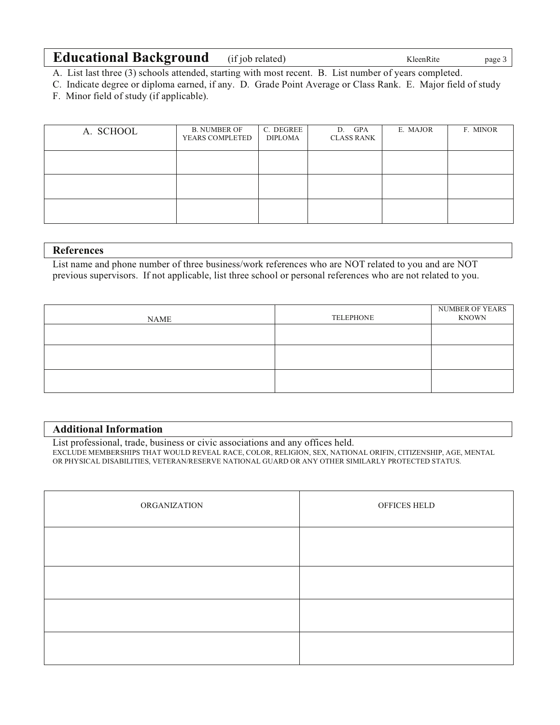## **Educational Background** (if job related) **KleenRite** Page 3

- A. List last three (3) schools attended, starting with most recent. B. List number of years completed.
- C. Indicate degree or diploma earned, if any. D. Grade Point Average or Class Rank. E. Major field of study

F. Minor field of study (if applicable).

| A. SCHOOL | <b>B. NUMBER OF</b><br>YEARS COMPLETED | C. DEGREE<br>DIPLOMA | D. GPA<br><b>CLASS RANK</b> | E. MAJOR | F. MINOR |
|-----------|----------------------------------------|----------------------|-----------------------------|----------|----------|
|           |                                        |                      |                             |          |          |
|           |                                        |                      |                             |          |          |
|           |                                        |                      |                             |          |          |

#### **References**

List name and phone number of three business/work references who are NOT related to you and are NOT previous supervisors. If not applicable, list three school or personal references who are not related to you.

| <b>NAME</b> | TELEPHONE | <b>NUMBER OF YEARS</b><br>KNOWN |
|-------------|-----------|---------------------------------|
|             |           |                                 |
|             |           |                                 |
|             |           |                                 |

### **Additional Information**

List professional, trade, business or civic associations and any offices held. EXCLUDE MEMBERSHIPS THAT WOULD REVEAL RACE, COLOR, RELIGION, SEX, NATIONAL ORIFIN, CITIZENSHIP, AGE, MENTAL OR PHYSICAL DISABILITIES, VETERAN/RESERVE NATIONAL GUARD OR ANY OTHER SIMILARLY PROTECTED STATUS.

| ORGANIZATION | OFFICES HELD |
|--------------|--------------|
|              |              |
|              |              |
|              |              |
|              |              |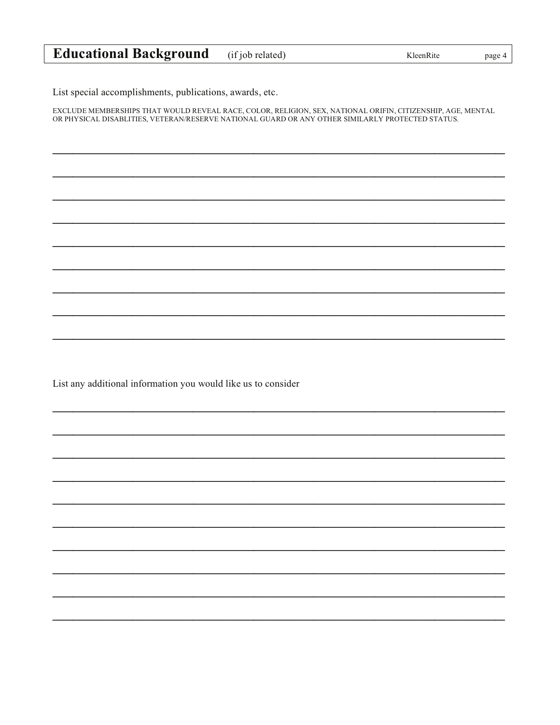KleenRite

page 4

List special accomplishments, publications, awards, etc.

EXCLUDE MEMBERSHIPS THAT WOULD REVEAL RACE, COLOR, RELIGION, SEX, NATIONAL ORIFIN, CITIZENSHIP, AGE, MENTAL OR PHYSICAL DISABLITIES, VETERAN/RESERVE NATIONAL GUARD OR ANY OTHER SIMILARLY PROTECTED STATUS.

List any additional information you would like us to consider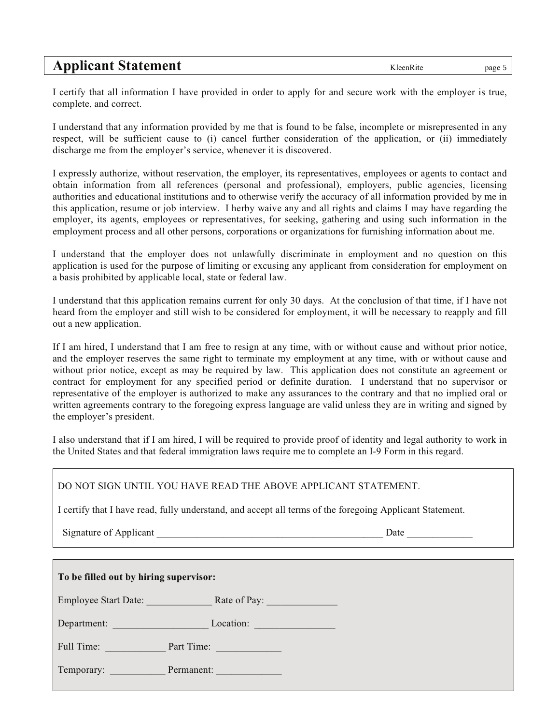| <b>Applicant Statement</b> | KleenRite | page |
|----------------------------|-----------|------|
|----------------------------|-----------|------|

I certify that all information I have provided in order to apply for and secure work with the employer is true, complete, and correct.

I understand that any information provided by me that is found to be false, incomplete or misrepresented in any respect, will be sufficient cause to (i) cancel further consideration of the application, or (ii) immediately discharge me from the employer's service, whenever it is discovered.

I expressly authorize, without reservation, the employer, its representatives, employees or agents to contact and obtain information from all references (personal and professional), employers, public agencies, licensing authorities and educational institutions and to otherwise verify the accuracy of all information provided by me in this application, resume or job interview. I herby waive any and all rights and claims I may have regarding the employer, its agents, employees or representatives, for seeking, gathering and using such information in the employment process and all other persons, corporations or organizations for furnishing information about me.

I understand that the employer does not unlawfully discriminate in employment and no question on this application is used for the purpose of limiting or excusing any applicant from consideration for employment on a basis prohibited by applicable local, state or federal law.

I understand that this application remains current for only 30 days. At the conclusion of that time, if I have not heard from the employer and still wish to be considered for employment, it will be necessary to reapply and fill out a new application.

If I am hired, I understand that I am free to resign at any time, with or without cause and without prior notice, and the employer reserves the same right to terminate my employment at any time, with or without cause and without prior notice, except as may be required by law. This application does not constitute an agreement or contract for employment for any specified period or definite duration. I understand that no supervisor or representative of the employer is authorized to make any assurances to the contrary and that no implied oral or written agreements contrary to the foregoing express language are valid unless they are in writing and signed by the employer's president.

I also understand that if I am hired, I will be required to provide proof of identity and legal authority to work in the United States and that federal immigration laws require me to complete an I-9 Form in this regard.

#### DO NOT SIGN UNTIL YOU HAVE READ THE ABOVE APPLICANT STATEMENT.

I certify that I have read, fully understand, and accept all terms of the foregoing Applicant Statement.

|  | Signature of Applicant |  | Jate |  |
|--|------------------------|--|------|--|
|--|------------------------|--|------|--|

| To be filled out by hiring supervisor: |              |
|----------------------------------------|--------------|
| Employee Start Date:                   | Rate of Pay: |
| Department:                            | Location:    |
| Full Time:                             | Part Time:   |
| Temporary:                             | Permanent:   |